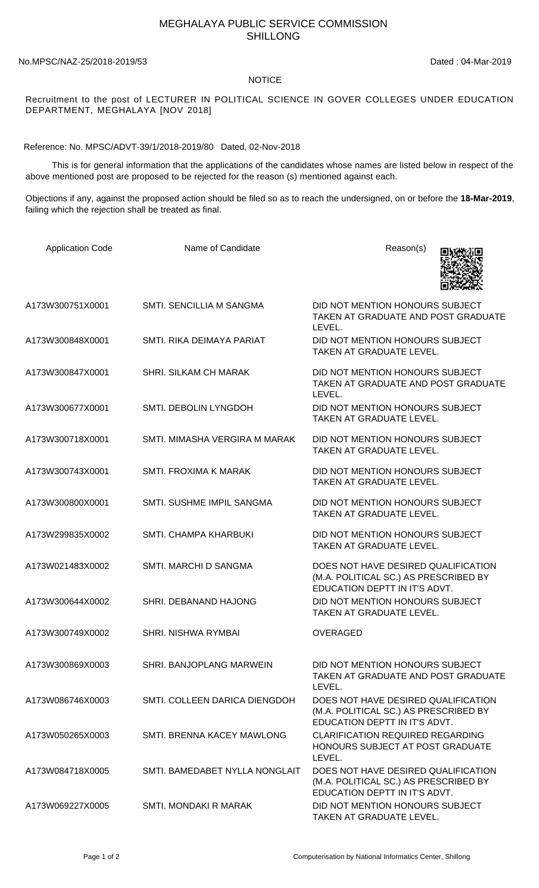## MEGHALAYA PUBLIC SERVICE COMMISSION SHILLONG

No.MPSC/NAZ-25/2018-2019/53 Dated : 04-Mar-2019

## NOTICE

Recruitment to the post of LECTURER IN POLITICAL SCIENCE IN GOVER COLLEGES UNDER EDUCATION DEPARTMENT, MEGHALAYA [NOV 2018]

Reference: No. MPSC/ADVT-39/1/2018-2019/80 Dated, 02-Nov-2018

 This is for general information that the applications of the candidates whose names are listed below in respect of the above mentioned post are proposed to be rejected for the reason (s) mentioned against each.

Objections if any, against the proposed action should be filed so as to reach the undersigned, on or before the **18-Mar-2019**, failing which the rejection shall be treated as final.

| <b>Application Code</b> | Name of Candidate               | Reason(s)                                                                                                     |
|-------------------------|---------------------------------|---------------------------------------------------------------------------------------------------------------|
| A173W300751X0001        | <b>SMTI. SENCILLIA M SANGMA</b> | DID NOT MENTION HONOURS SUBJECT<br>TAKEN AT GRADUATE AND POST GRADUATE<br>LEVEL.                              |
| A173W300848X0001        | SMTI, RIKA DEIMAYA PARIAT       | DID NOT MENTION HONOURS SUBJECT<br>TAKEN AT GRADUATE LEVEL.                                                   |
| A173W300847X0001        | <b>SHRI, SILKAM CH MARAK</b>    | DID NOT MENTION HONOURS SUBJECT<br>TAKEN AT GRADUATE AND POST GRADUATE<br>LEVEL.                              |
| A173W300677X0001        | SMTI. DEBOLIN LYNGDOH           | DID NOT MENTION HONOURS SUBJECT<br>TAKEN AT GRADUATE LEVEL.                                                   |
| A173W300718X0001        | SMTI. MIMASHA VERGIRA M MARAK   | DID NOT MENTION HONOURS SUBJECT<br><b>TAKEN AT GRADUATE LEVEL.</b>                                            |
| A173W300743X0001        | <b>SMTI. FROXIMA K MARAK</b>    | DID NOT MENTION HONOURS SUBJECT<br>TAKEN AT GRADUATE LEVEL.                                                   |
| A173W300800X0001        | SMTI. SUSHME IMPIL SANGMA       | DID NOT MENTION HONOURS SUBJECT<br>TAKEN AT GRADUATE LEVEL.                                                   |
| A173W299835X0002        | SMTI. CHAMPA KHARBUKI           | DID NOT MENTION HONOURS SUBJECT<br>TAKEN AT GRADUATE LEVEL.                                                   |
| A173W021483X0002        | SMTI. MARCHI D SANGMA           | DOES NOT HAVE DESIRED QUALIFICATION<br>(M.A. POLITICAL SC.) AS PRESCRIBED BY<br>EDUCATION DEPTT IN IT'S ADVT. |
| A173W300644X0002        | SHRI. DEBANAND HAJONG           | DID NOT MENTION HONOURS SUBJECT<br>TAKEN AT GRADUATE LEVEL.                                                   |
| A173W300749X0002        | <b>SHRI, NISHWA RYMBAI</b>      | <b>OVERAGED</b>                                                                                               |
| A173W300869X0003        | SHRI. BANJOPLANG MARWEIN        | DID NOT MENTION HONOURS SUBJECT<br>TAKEN AT GRADUATE AND POST GRADUATE<br>LEVEL.                              |
| A173W086746X0003        | SMTI, COLLEEN DARICA DIENGDOH   | DOES NOT HAVE DESIRED QUALIFICATION<br>(M.A. POLITICAL SC.) AS PRESCRIBED BY<br>EDUCATION DEPTT IN IT'S ADVT. |
| A173W050265X0003        | SMTI. BRENNA KACEY MAWLONG      | <b>CLARIFICATION REQUIRED REGARDING</b><br>HONOURS SUBJECT AT POST GRADUATE<br>LEVEL.                         |
| A173W084718X0005        | SMTI. BAMEDABET NYLLA NONGLAIT  | DOES NOT HAVE DESIRED QUALIFICATION<br>(M.A. POLITICAL SC.) AS PRESCRIBED BY<br>EDUCATION DEPTT IN IT'S ADVT. |
| A173W069227X0005        | SMTI. MONDAKI R MARAK           | DID NOT MENTION HONOURS SUBJECT<br>TAKEN AT GRADUATE LEVEL.                                                   |